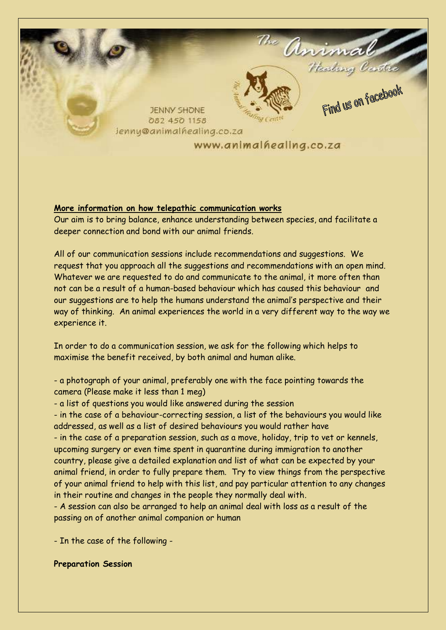

# **More information on how telepathic communication works**

Our aim is to bring balance, enhance understanding between species, and facilitate a deeper connection and bond with our animal friends.

All of our communication sessions include recommendations and suggestions. We request that you approach all the suggestions and recommendations with an open mind. Whatever we are requested to do and communicate to the animal, it more often than not can be a result of a human-based behaviour which has caused this behaviour and our suggestions are to help the humans understand the animal's perspective and their way of thinking. An animal experiences the world in a very different way to the way we experience it.

In order to do a communication session, we ask for the following which helps to maximise the benefit received, by both animal and human alike.

- a photograph of your animal, preferably one with the face pointing towards the camera (Please make it less than 1 meg)

- a list of questions you would like answered during the session

- in the case of a behaviour-correcting session, a list of the behaviours you would like addressed, as well as a list of desired behaviours you would rather have

- in the case of a preparation session, such as a move, holiday, trip to vet or kennels, upcoming surgery or even time spent in quarantine during immigration to another country, please give a detailed explanation and list of what can be expected by your animal friend, in order to fully prepare them. Try to view things from the perspective of your animal friend to help with this list, and pay particular attention to any changes in their routine and changes in the people they normally deal with.

- A session can also be arranged to help an animal deal with loss as a result of the passing on of another animal companion or human

- In the case of the following -

## **Preparation Session**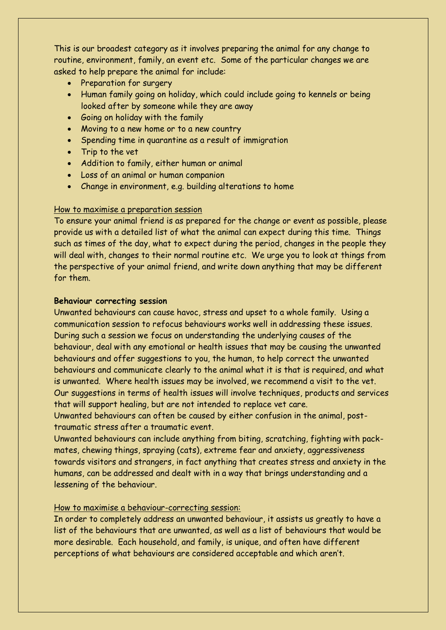This is our broadest category as it involves preparing the animal for any change to routine, environment, family, an event etc. Some of the particular changes we are asked to help prepare the animal for include:

- Preparation for surgery
- Human family going on holiday, which could include going to kennels or being looked after by someone while they are away
- Going on holiday with the family
- Moving to a new home or to a new country
- Spending time in quarantine as a result of immigration
- Trip to the vet
- Addition to family, either human or animal
- Loss of an animal or human companion
- Change in environment, e.g. building alterations to home

## How to maximise a preparation session

To ensure your animal friend is as prepared for the change or event as possible, please provide us with a detailed list of what the animal can expect during this time. Things such as times of the day, what to expect during the period, changes in the people they will deal with, changes to their normal routine etc. We urge you to look at things from the perspective of your animal friend, and write down anything that may be different for them.

#### **Behaviour correcting session**

Unwanted behaviours can cause havoc, stress and upset to a whole family. Using a communication session to refocus behaviours works well in addressing these issues. During such a session we focus on understanding the underlying causes of the behaviour, deal with any emotional or health issues that may be causing the unwanted behaviours and offer suggestions to you, the human, to help correct the unwanted behaviours and communicate clearly to the animal what it is that is required, and what is unwanted. Where health issues may be involved, we recommend a visit to the vet. Our suggestions in terms of health issues will involve techniques, products and services that will support healing, but are not intended to replace vet care.

Unwanted behaviours can often be caused by either confusion in the animal, posttraumatic stress after a traumatic event.

Unwanted behaviours can include anything from biting, scratching, fighting with packmates, chewing things, spraying (cats), extreme fear and anxiety, aggressiveness towards visitors and strangers, in fact anything that creates stress and anxiety in the humans, can be addressed and dealt with in a way that brings understanding and a lessening of the behaviour.

## How to maximise a behaviour-correcting session:

In order to completely address an unwanted behaviour, it assists us greatly to have a list of the behaviours that are unwanted, as well as a list of behaviours that would be more desirable. Each household, and family, is unique, and often have different perceptions of what behaviours are considered acceptable and which aren't.